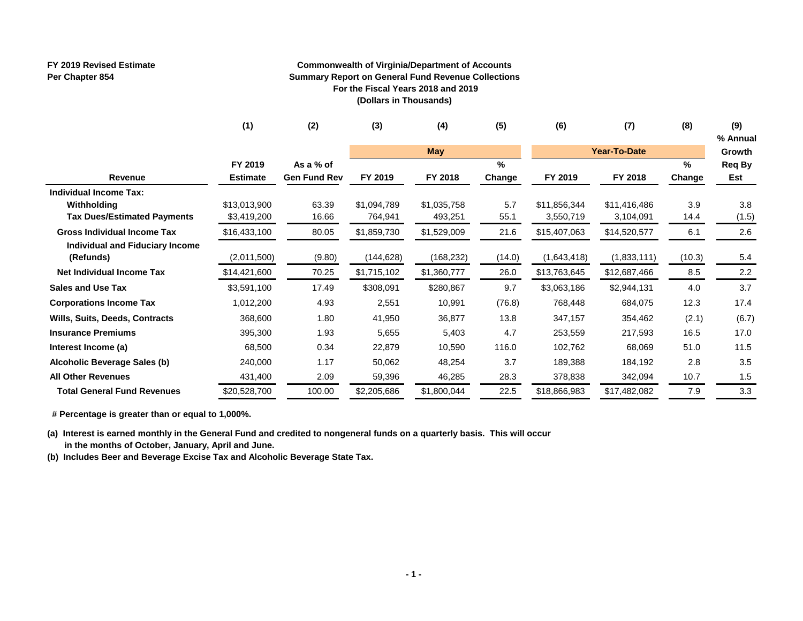#### **FY 2019 Revised Estimate Per Chapter 854**

#### **Commonwealth of Virginia/Department of Accounts Summary Report on General Fund Revenue Collections For the Fiscal Years 2018 and 2019 (Dollars in Thousands)**

|                                    | (1)             | (2)                 | (3)         | (4)         | (5)    | (6)          | (7)                 | (8)    | (9)<br>% Annual |
|------------------------------------|-----------------|---------------------|-------------|-------------|--------|--------------|---------------------|--------|-----------------|
|                                    |                 |                     |             | <b>May</b>  |        |              | <b>Year-To-Date</b> |        | Growth          |
|                                    | FY 2019         | As a % of           |             |             | $\%$   |              |                     | $\%$   | Req By          |
| Revenue                            | <b>Estimate</b> | <b>Gen Fund Rev</b> | FY 2019     | FY 2018     | Change | FY 2019      | FY 2018             | Change | Est             |
| <b>Individual Income Tax:</b>      |                 |                     |             |             |        |              |                     |        |                 |
| Withholding                        | \$13,013,900    | 63.39               | \$1,094,789 | \$1,035,758 | 5.7    | \$11,856,344 | \$11,416,486        | 3.9    | 3.8             |
| <b>Tax Dues/Estimated Payments</b> | \$3,419,200     | 16.66               | 764,941     | 493,251     | 55.1   | 3,550,719    | 3,104,091           | 14.4   | (1.5)           |
| <b>Gross Individual Income Tax</b> | \$16,433,100    | 80.05               | \$1,859,730 | \$1,529,009 | 21.6   | \$15,407,063 | \$14,520,577        | 6.1    | 2.6             |
| Individual and Fiduciary Income    |                 |                     |             |             |        |              |                     |        |                 |
| (Refunds)                          | (2,011,500)     | (9.80)              | (144,628)   | (168, 232)  | (14.0) | (1,643,418)  | (1,833,111)         | (10.3) | 5.4             |
| <b>Net Individual Income Tax</b>   | \$14,421,600    | 70.25               | \$1,715,102 | \$1,360,777 | 26.0   | \$13,763,645 | \$12,687,466        | 8.5    | 2.2             |
| <b>Sales and Use Tax</b>           | \$3,591,100     | 17.49               | \$308,091   | \$280,867   | 9.7    | \$3,063,186  | \$2,944,131         | 4.0    | 3.7             |
| <b>Corporations Income Tax</b>     | 1,012,200       | 4.93                | 2,551       | 10,991      | (76.8) | 768,448      | 684,075             | 12.3   | 17.4            |
| Wills, Suits, Deeds, Contracts     | 368,600         | 1.80                | 41,950      | 36,877      | 13.8   | 347,157      | 354,462             | (2.1)  | (6.7)           |
| <b>Insurance Premiums</b>          | 395,300         | 1.93                | 5,655       | 5,403       | 4.7    | 253,559      | 217,593             | 16.5   | 17.0            |
| Interest Income (a)                | 68,500          | 0.34                | 22,879      | 10,590      | 116.0  | 102,762      | 68,069              | 51.0   | 11.5            |
| Alcoholic Beverage Sales (b)       | 240,000         | 1.17                | 50,062      | 48,254      | 3.7    | 189,388      | 184,192             | 2.8    | 3.5             |
| <b>All Other Revenues</b>          | 431,400         | 2.09                | 59,396      | 46,285      | 28.3   | 378,838      | 342,094             | 10.7   | 1.5             |
| <b>Total General Fund Revenues</b> | \$20,528,700    | 100.00              | \$2,205,686 | \$1,800,044 | 22.5   | \$18,866,983 | \$17,482,082        | 7.9    | 3.3             |

 **# Percentage is greater than or equal to 1,000%.**

**(a) Interest is earned monthly in the General Fund and credited to nongeneral funds on a quarterly basis. This will occur in the months of October, January, April and June.**

**(b) Includes Beer and Beverage Excise Tax and Alcoholic Beverage State Tax.**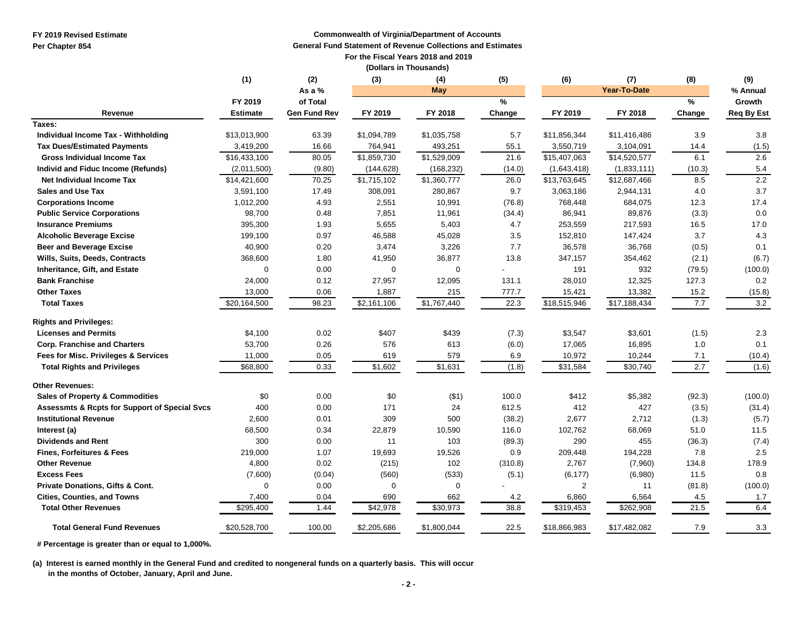**FY 2019 Revised Estimate**

**Per Chapter 854**

#### **Commonwealth of Virginia/Department of Accounts**

**General Fund Statement of Revenue Collections and Estimates**

 **For the Fiscal Years 2018 and 2019**

|                                                          |                 |                     | (Dollars in Thousands) |                      |         |              |              |        |                   |
|----------------------------------------------------------|-----------------|---------------------|------------------------|----------------------|---------|--------------|--------------|--------|-------------------|
|                                                          | (1)             | (2)                 | (3)                    | (4)                  | (5)     | (6)          | (7)          | (8)    | (9)               |
|                                                          |                 | As a %              |                        | May                  |         |              | Year-To-Date |        | % Annual          |
|                                                          | FY 2019         | of Total            |                        |                      | %       |              |              | ℅      | Growth            |
| Revenue                                                  | <b>Estimate</b> | <b>Gen Fund Rev</b> | FY 2019                | FY 2018              | Change  | FY 2019      | FY 2018      | Change | <b>Req By Est</b> |
| Taxes:                                                   |                 |                     |                        |                      |         |              |              |        |                   |
| Individual Income Tax - Withholding                      | \$13,013,900    | 63.39               | \$1,094,789            | \$1,035,758          | 5.7     | \$11,856,344 | \$11,416,486 | 3.9    | 3.8               |
| <b>Tax Dues/Estimated Payments</b>                       | 3,419,200       | 16.66               | 764,941                | 493,251              | 55.1    | 3,550,719    | 3,104,091    | 14.4   | (1.5)             |
| <b>Gross Individual Income Tax</b>                       | \$16,433,100    | 80.05               | \$1,859,730            | \$1,529,009          | 21.6    | \$15,407,063 | \$14,520,577 | 6.1    | 2.6               |
| Individ and Fiduc Income (Refunds)                       | (2,011,500)     | (9.80)              | (144, 628)             | (168, 232)           | (14.0)  | (1,643,418)  | (1,833,111)  | (10.3) | 5.4               |
| Net Individual Income Tax                                | \$14,421,600    | 70.25               | \$1,715,102            | \$1,360,777          | 26.0    | \$13,763,645 | \$12,687,466 | 8.5    | 2.2               |
| <b>Sales and Use Tax</b>                                 | 3,591,100       | 17.49               | 308,091                | 280,867              | 9.7     | 3,063,186    | 2,944,131    | 4.0    | 3.7               |
| <b>Corporations Income</b>                               | 1,012,200       | 4.93                | 2,551                  | 10,991               | (76.8)  | 768,448      | 684,075      | 12.3   | 17.4              |
| <b>Public Service Corporations</b>                       | 98,700          | 0.48                | 7,851                  | 11,961               | (34.4)  | 86,941       | 89,876       | (3.3)  | 0.0               |
| <b>Insurance Premiums</b>                                | 395,300         | 1.93                | 5,655                  | 5,403                | 4.7     | 253,559      | 217,593      | 16.5   | 17.0              |
| <b>Alcoholic Beverage Excise</b>                         | 199,100         | 0.97                | 46,588                 | 45,028               | 3.5     | 152,810      | 147,424      | 3.7    | 4.3               |
| <b>Beer and Beverage Excise</b>                          | 40,900          | 0.20                | 3,474                  | 3,226                | 7.7     | 36,578       | 36,768       | (0.5)  | 0.1               |
| Wills, Suits, Deeds, Contracts                           | 368,600         | 1.80                | 41,950                 | 36,877               | 13.8    | 347,157      | 354,462      | (2.1)  | (6.7)             |
| Inheritance, Gift, and Estate                            | $\mathbf 0$     | 0.00                | $\mathbf 0$            | $\mathbf 0$          |         | 191          | 932          | (79.5) | (100.0)           |
| <b>Bank Franchise</b>                                    | 24,000          | 0.12                | 27,957                 | 12,095               | 131.1   | 28,010       | 12,325       | 127.3  | 0.2               |
| <b>Other Taxes</b>                                       | 13,000          | 0.06                | 1,887                  | 215                  | 777.7   | 15,421       | 13,382       | 15.2   | (15.8)            |
| <b>Total Taxes</b>                                       | \$20,164,500    | 98.23               | \$2,161,106            | \$1,767,440          | 22.3    | \$18,515,946 | \$17,188,434 | 7.7    | 3.2               |
| <b>Rights and Privileges:</b>                            |                 |                     |                        |                      |         |              |              |        |                   |
| <b>Licenses and Permits</b>                              | \$4,100         | 0.02                | \$407                  | \$439                | (7.3)   | \$3,547      | \$3,601      | (1.5)  | 2.3               |
| <b>Corp. Franchise and Charters</b>                      | 53,700          | 0.26                | 576                    | 613                  | (6.0)   | 17,065       | 16,895       | 1.0    | 0.1               |
| Fees for Misc. Privileges & Services                     | 11,000          | 0.05                | 619                    | 579                  | 6.9     | 10,972       | 10,244       | 7.1    | (10.4)            |
| <b>Total Rights and Privileges</b>                       | \$68,800        | 0.33                | $\sqrt{51,602}$        | \$1,631              | (1.8)   | \$31,584     | \$30,740     | 2.7    | (1.6)             |
| <b>Other Revenues:</b>                                   |                 |                     |                        |                      |         |              |              |        |                   |
| <b>Sales of Property &amp; Commodities</b>               | \$0             | 0.00                | \$0                    | ( \$1)               | 100.0   | \$412        | \$5,382      | (92.3) | (100.0)           |
| <b>Assessmts &amp; Rcpts for Support of Special Svcs</b> | 400             | 0.00                | 171                    | 24                   | 612.5   | 412          | 427          | (3.5)  | (31.4)            |
| <b>Institutional Revenue</b>                             | 2,600           | 0.01                | 309                    | 500                  | (38.2)  | 2,677        | 2,712        | (1.3)  | (5.7)             |
| Interest (a)                                             | 68,500          | 0.34                | 22,879                 | 10,590               | 116.0   | 102,762      | 68,069       | 51.0   | 11.5              |
| <b>Dividends and Rent</b>                                | 300             | 0.00                | 11                     | 103                  | (89.3)  | 290          | 455          | (36.3) | (7.4)             |
| <b>Fines, Forfeitures &amp; Fees</b>                     | 219,000         | 1.07                | 19,693                 | 19,526               | 0.9     | 209,448      | 194,228      | 7.8    | 2.5               |
| <b>Other Revenue</b>                                     | 4,800           | 0.02                | (215)                  | 102                  | (310.8) | 2,767        | (7,960)      | 134.8  | 178.9             |
| <b>Excess Fees</b>                                       | (7,600)         | (0.04)              | (560)                  | (533)                | (5.1)   | (6, 177)     | (6,980)      | 11.5   | 0.8               |
| <b>Private Donations, Gifts &amp; Cont.</b>              | $\Omega$        | 0.00                | 0                      | $\mathbf 0$          |         | $\mathbf{2}$ | 11           | (81.8) | (100.0)           |
| <b>Cities, Counties, and Towns</b>                       | 7,400           | 0.04                | 690                    | 662                  | 4.2     | 6,860        | 6,564        | 4.5    | 1.7               |
| <b>Total Other Revenues</b>                              | \$295,400       | 1.44                | \$42,978               | $\overline{$}30,973$ | 38.8    | \$319,453    | \$262,908    | 21.5   | 6.4               |
| <b>Total General Fund Revenues</b>                       | \$20,528,700    | 100.00              | \$2,205,686            | \$1,800,044          | 22.5    | \$18,866,983 | \$17,482,082 | 7.9    | 3.3               |

 **# Percentage is greater than or equal to 1,000%.**

**(a) Interest is earned monthly in the General Fund and credited to nongeneral funds on a quarterly basis. This will occur in the months of October, January, April and June.**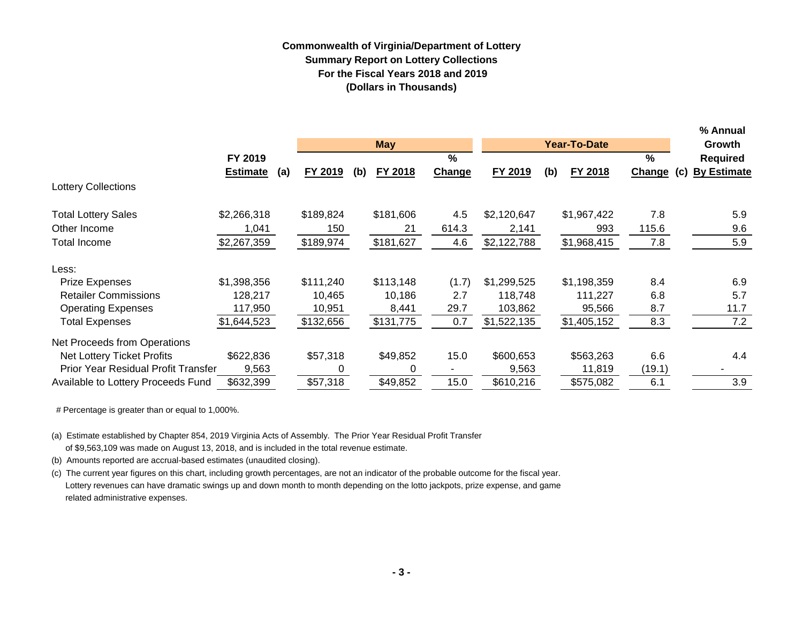## **Commonwealth of Virginia/Department of Lottery Summary Report on Lottery Collections For the Fiscal Years 2018 and 2019 (Dollars in Thousands)**

|                                            |                 |     |           |     |            |            |             |     |                     |               |     | % Annual           |
|--------------------------------------------|-----------------|-----|-----------|-----|------------|------------|-------------|-----|---------------------|---------------|-----|--------------------|
|                                            |                 |     |           |     | <b>May</b> |            |             |     | <b>Year-To-Date</b> |               |     | Growth             |
|                                            | FY 2019         |     |           |     |            | $\sqrt{2}$ |             |     |                     | $\%$          |     | <b>Required</b>    |
|                                            | <b>Estimate</b> | (a) | FY 2019   | (b) | FY 2018    | Change     | FY 2019     | (b) | FY 2018             | <b>Change</b> | (c) | <b>By Estimate</b> |
| <b>Lottery Collections</b>                 |                 |     |           |     |            |            |             |     |                     |               |     |                    |
| <b>Total Lottery Sales</b>                 | \$2,266,318     |     | \$189,824 |     | \$181,606  | 4.5        | \$2,120,647 |     | \$1,967,422         | 7.8           |     | 5.9                |
| Other Income                               | 1,041           |     | 150       |     | 21         | 614.3      | 2,141       |     | 993                 | 115.6         |     | 9.6                |
| <b>Total Income</b>                        | \$2,267,359     |     | \$189,974 |     | \$181,627  | 4.6        | \$2,122,788 |     | \$1,968,415         | 7.8           |     | 5.9                |
| Less:                                      |                 |     |           |     |            |            |             |     |                     |               |     |                    |
| <b>Prize Expenses</b>                      | \$1,398,356     |     | \$111,240 |     | \$113,148  | (1.7)      | \$1,299,525 |     | \$1,198,359         | 8.4           |     | 6.9                |
| <b>Retailer Commissions</b>                | 128,217         |     | 10,465    |     | 10,186     | 2.7        | 118,748     |     | 111,227             | 6.8           |     | 5.7                |
| <b>Operating Expenses</b>                  | 117,950         |     | 10,951    |     | 8,441      | 29.7       | 103,862     |     | 95,566              | 8.7           |     | 11.7               |
| <b>Total Expenses</b>                      | \$1,644,523     |     | \$132,656 |     | \$131,775  | 0.7        | \$1,522,135 |     | \$1,405,152         | 8.3           |     | 7.2                |
| Net Proceeds from Operations               |                 |     |           |     |            |            |             |     |                     |               |     |                    |
| Net Lottery Ticket Profits                 | \$622,836       |     | \$57,318  |     | \$49,852   | 15.0       | \$600,653   |     | \$563,263           | 6.6           |     | 4.4                |
| <b>Prior Year Residual Profit Transfer</b> | 9,563           |     |           |     | 0          |            | 9,563       |     | 11,819              | (19.1)        |     |                    |
| Available to Lottery Proceeds Fund         | \$632,399       |     | \$57,318  |     | \$49,852   | 15.0       | \$610,216   |     | \$575,082           | 6.1           |     | 3.9                |

# Percentage is greater than or equal to 1,000%.

(a) Estimate established by Chapter 854, 2019 Virginia Acts of Assembly. The Prior Year Residual Profit Transfer of \$9,563,109 was made on August 13, 2018, and is included in the total revenue estimate.

(b) Amounts reported are accrual-based estimates (unaudited closing).

(c) The current year figures on this chart, including growth percentages, are not an indicator of the probable outcome for the fiscal year. Lottery revenues can have dramatic swings up and down month to month depending on the lotto jackpots, prize expense, and game related administrative expenses.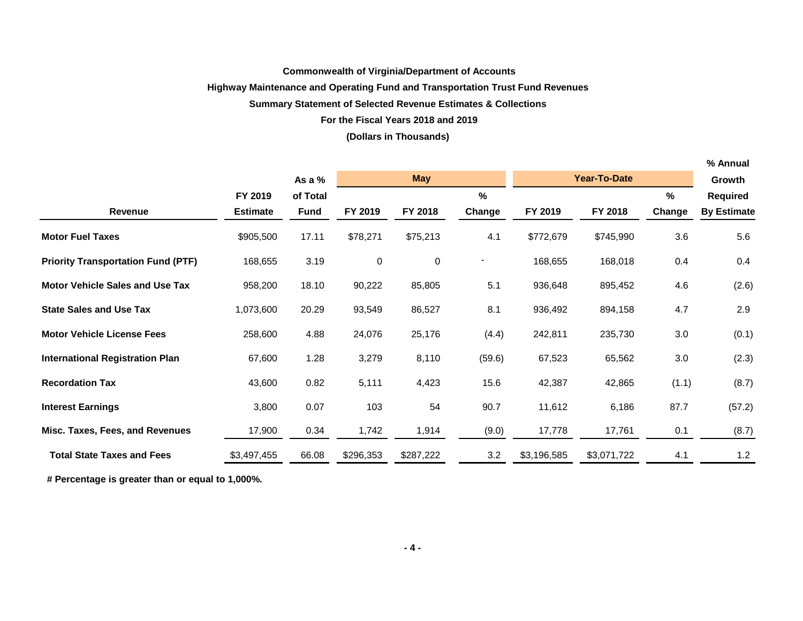## **Commonwealth of Virginia/Department of Accounts**

## **Highway Maintenance and Operating Fund and Transportation Trust Fund Revenues**

## **Summary Statement of Selected Revenue Estimates & Collections**

## **For the Fiscal Years 2018 and 2019**

## **(Dollars in Thousands)**

|                                           |                 |             |           |            |                |             |                     |        | % Annual           |
|-------------------------------------------|-----------------|-------------|-----------|------------|----------------|-------------|---------------------|--------|--------------------|
|                                           |                 | As a $%$    |           | <b>May</b> |                |             | <b>Year-To-Date</b> |        | Growth             |
|                                           | FY 2019         | of Total    |           |            | $\%$           |             |                     | %      | Required           |
| <b>Revenue</b>                            | <b>Estimate</b> | <b>Fund</b> | FY 2019   | FY 2018    | Change         | FY 2019     | FY 2018             | Change | <b>By Estimate</b> |
| <b>Motor Fuel Taxes</b>                   | \$905,500       | 17.11       | \$78,271  | \$75,213   | 4.1            | \$772,679   | \$745,990           | 3.6    | 5.6                |
| <b>Priority Transportation Fund (PTF)</b> | 168,655         | 3.19        | 0         | $\pmb{0}$  | $\blacksquare$ | 168,655     | 168,018             | 0.4    | 0.4                |
| <b>Motor Vehicle Sales and Use Tax</b>    | 958,200         | 18.10       | 90,222    | 85,805     | 5.1            | 936,648     | 895,452             | 4.6    | (2.6)              |
| <b>State Sales and Use Tax</b>            | 1,073,600       | 20.29       | 93,549    | 86,527     | 8.1            | 936,492     | 894,158             | 4.7    | 2.9                |
| <b>Motor Vehicle License Fees</b>         | 258,600         | 4.88        | 24,076    | 25,176     | (4.4)          | 242,811     | 235,730             | 3.0    | (0.1)              |
| <b>International Registration Plan</b>    | 67,600          | 1.28        | 3,279     | 8,110      | (59.6)         | 67,523      | 65,562              | 3.0    | (2.3)              |
| <b>Recordation Tax</b>                    | 43,600          | 0.82        | 5,111     | 4,423      | 15.6           | 42,387      | 42,865              | (1.1)  | (8.7)              |
| <b>Interest Earnings</b>                  | 3,800           | 0.07        | 103       | 54         | 90.7           | 11,612      | 6,186               | 87.7   | (57.2)             |
| Misc. Taxes, Fees, and Revenues           | 17,900          | 0.34        | 1,742     | 1,914      | (9.0)          | 17,778      | 17,761              | 0.1    | (8.7)              |
| <b>Total State Taxes and Fees</b>         | \$3,497,455     | 66.08       | \$296,353 | \$287,222  | 3.2            | \$3,196,585 | \$3,071,722         | 4.1    | $1.2$              |

 **# Percentage is greater than or equal to 1,000%.**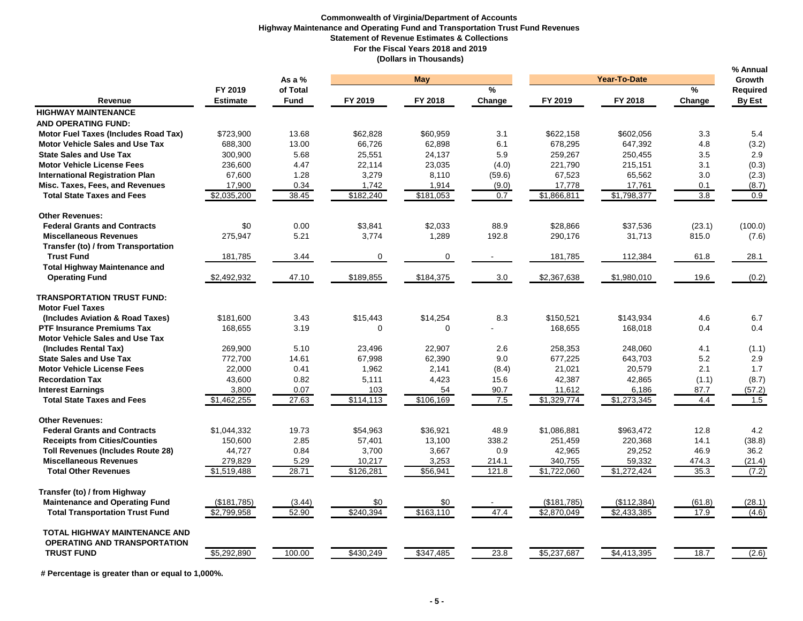#### **Commonwealth of Virginia/Department of Accounts Highway Maintenance and Operating Fund and Transportation Trust Fund Revenues Statement of Revenue Estimates & Collections For the Fiscal Years 2018 and 2019 (Dollars in Thousands)**

|                                             |                 | As a $%$    |            | <b>May</b> |        |             | <b>Year-To-Date</b> |        |                           |  |
|---------------------------------------------|-----------------|-------------|------------|------------|--------|-------------|---------------------|--------|---------------------------|--|
|                                             | FY 2019         | of Total    |            |            | %      |             |                     | %      | Growth<br><b>Required</b> |  |
| Revenue                                     | <b>Estimate</b> | <b>Fund</b> | FY 2019    | FY 2018    | Change | FY 2019     | FY 2018             | Change | By Est                    |  |
| <b>HIGHWAY MAINTENANCE</b>                  |                 |             |            |            |        |             |                     |        |                           |  |
| <b>AND OPERATING FUND:</b>                  |                 |             |            |            |        |             |                     |        |                           |  |
| <b>Motor Fuel Taxes (Includes Road Tax)</b> | \$723,900       | 13.68       | \$62,828   | \$60,959   | 3.1    | \$622,158   | \$602,056           | 3.3    | 5.4                       |  |
| <b>Motor Vehicle Sales and Use Tax</b>      | 688,300         | 13.00       | 66,726     | 62,898     | 6.1    | 678,295     | 647,392             | 4.8    | (3.2)                     |  |
| <b>State Sales and Use Tax</b>              | 300,900         | 5.68        | 25,551     | 24.137     | 5.9    | 259,267     | 250,455             | 3.5    | 2.9                       |  |
| <b>Motor Vehicle License Fees</b>           | 236,600         | 4.47        | 22,114     | 23,035     | (4.0)  | 221,790     | 215,151             | 3.1    | (0.3)                     |  |
| <b>International Registration Plan</b>      | 67,600          | 1.28        | 3,279      | 8,110      | (59.6) | 67,523      | 65,562              | 3.0    | (2.3)                     |  |
| Misc. Taxes, Fees, and Revenues             | 17,900          | 0.34        | 1,742      | 1,914      | (9.0)  | 17,778      | 17,761              | 0.1    | (8.7)                     |  |
| <b>Total State Taxes and Fees</b>           | \$2,035,200     | 38.45       | \$182,240  | \$181,053  | 0.7    | \$1,866,811 | \$1,798,377         | 3.8    | 0.9                       |  |
| <b>Other Revenues:</b>                      |                 |             |            |            |        |             |                     |        |                           |  |
| <b>Federal Grants and Contracts</b>         | \$0             | 0.00        | \$3.841    | \$2,033    | 88.9   | \$28.866    | \$37.536            | (23.1) | (100.0)                   |  |
| <b>Miscellaneous Revenues</b>               | 275,947         | 5.21        | 3,774      | 1,289      | 192.8  | 290,176     | 31,713              | 815.0  | (7.6)                     |  |
| Transfer (to) / from Transportation         |                 |             |            |            |        |             |                     |        |                           |  |
| <b>Trust Fund</b>                           | 181,785         | 3.44        | 0          | 0          |        | 181,785     | 112,384             | 61.8   | 28.1                      |  |
| <b>Total Highway Maintenance and</b>        |                 |             |            |            |        |             |                     |        |                           |  |
| <b>Operating Fund</b>                       | \$2,492,932     | 47.10       | \$189,855  | \$184,375  | 3.0    | \$2,367,638 | \$1,980,010         | 19.6   | (0.2)                     |  |
| <b>TRANSPORTATION TRUST FUND:</b>           |                 |             |            |            |        |             |                     |        |                           |  |
| <b>Motor Fuel Taxes</b>                     |                 |             |            |            |        |             |                     |        |                           |  |
| (Includes Aviation & Road Taxes)            | \$181,600       | 3.43        | \$15,443   | \$14,254   | 8.3    | \$150,521   | \$143,934           | 4.6    | 6.7                       |  |
| <b>PTF Insurance Premiums Tax</b>           | 168,655         | 3.19        | $\Omega$   | $\Omega$   |        | 168,655     | 168,018             | 0.4    | 0.4                       |  |
| <b>Motor Vehicle Sales and Use Tax</b>      |                 |             |            |            |        |             |                     |        |                           |  |
| (Includes Rental Tax)                       | 269,900         | 5.10        | 23,496     | 22,907     | 2.6    | 258,353     | 248,060             | 4.1    | (1.1)                     |  |
| <b>State Sales and Use Tax</b>              | 772,700         | 14.61       | 67,998     | 62,390     | 9.0    | 677,225     | 643,703             | 5.2    | 2.9                       |  |
| <b>Motor Vehicle License Fees</b>           | 22,000          | 0.41        | 1,962      | 2,141      | (8.4)  | 21,021      | 20,579              | 2.1    | 1.7                       |  |
| <b>Recordation Tax</b>                      | 43,600          | 0.82        | 5,111      | 4,423      | 15.6   | 42,387      | 42,865              | (1.1)  | (8.7)                     |  |
| <b>Interest Earnings</b>                    | 3,800           | 0.07        | 103        | 54         | 90.7   | 11,612      | 6,186               | 87.7   | (57.2)                    |  |
| <b>Total State Taxes and Fees</b>           | \$1,462,255     | 27.63       | \$114, 113 | \$106,169  | 7.5    | \$1,329,774 | \$1,273,345         | 4.4    | 1.5                       |  |
| <b>Other Revenues:</b>                      |                 |             |            |            |        |             |                     |        |                           |  |
| <b>Federal Grants and Contracts</b>         | \$1,044,332     | 19.73       | \$54,963   | \$36,921   | 48.9   | \$1,086,881 | \$963,472           | 12.8   | 4.2                       |  |
| <b>Receipts from Cities/Counties</b>        | 150,600         | 2.85        | 57,401     | 13,100     | 338.2  | 251,459     | 220,368             | 14.1   | (38.8)                    |  |
| <b>Toll Revenues (Includes Route 28)</b>    | 44,727          | 0.84        | 3,700      | 3,667      | 0.9    | 42,965      | 29,252              | 46.9   | 36.2                      |  |
| <b>Miscellaneous Revenues</b>               | 279,829         | 5.29        | 10,217     | 3,253      | 214.1  | 340,755     | 59,332              | 474.3  | (21.4)                    |  |
| <b>Total Other Revenues</b>                 | \$1,519,488     | 28.71       | \$126,281  | \$56,941   | 121.8  | \$1,722,060 | \$1,272,424         | 35.3   | (7.2)                     |  |
| Transfer (to) / from Highway                |                 |             |            |            |        |             |                     |        |                           |  |
| <b>Maintenance and Operating Fund</b>       | (\$181,785)     | (3.44)      | \$0        | \$0        |        | (\$181,785) | (\$112,384)         | (61.8) | (28.1)                    |  |
| <b>Total Transportation Trust Fund</b>      | \$2,799,958     | 52.90       | \$240,394  | \$163,110  | 47.4   | \$2,870,049 | \$2,433,385         | 17.9   | (4.6)                     |  |
| TOTAL HIGHWAY MAINTENANCE AND               |                 |             |            |            |        |             |                     |        |                           |  |
| <b>OPERATING AND TRANSPORTATION</b>         |                 |             |            |            |        |             |                     |        |                           |  |
| <b>TRUST FUND</b>                           | \$5,292,890     | 100.00      | \$430,249  | \$347,485  | 23.8   | \$5,237,687 | \$4,413,395         | 18.7   | (2.6)                     |  |
|                                             |                 |             |            |            |        |             |                     |        |                           |  |

 **# Percentage is greater than or equal to 1,000%.**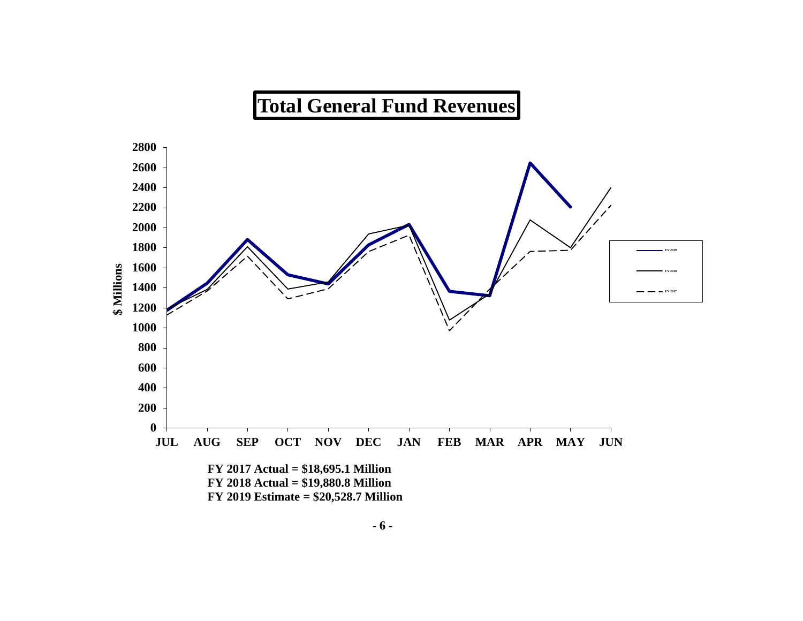# **Total General Fund Revenues**

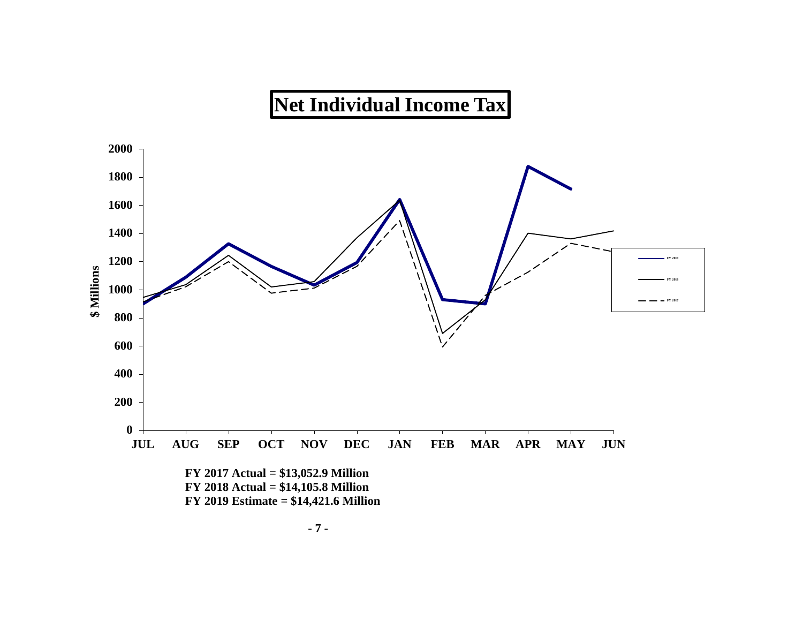# **Net Individual Income Tax**

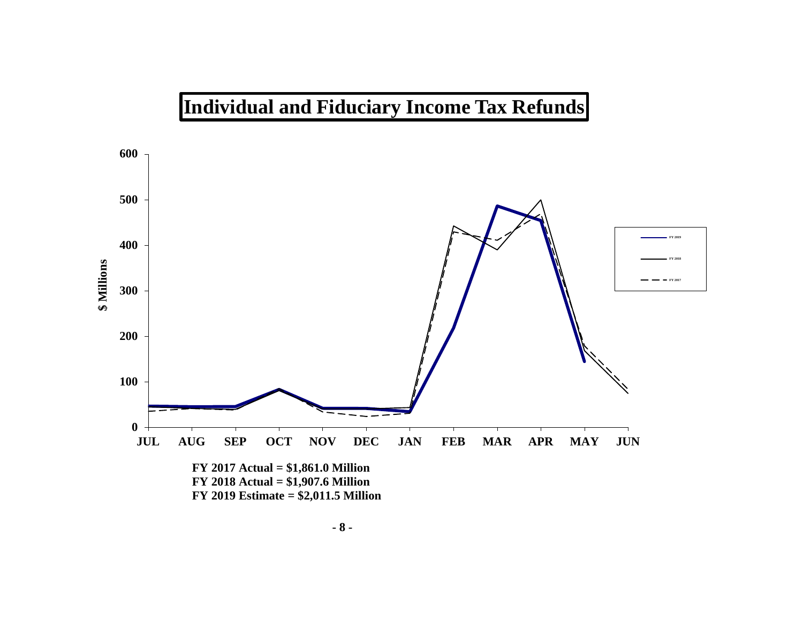

# **- 8 -**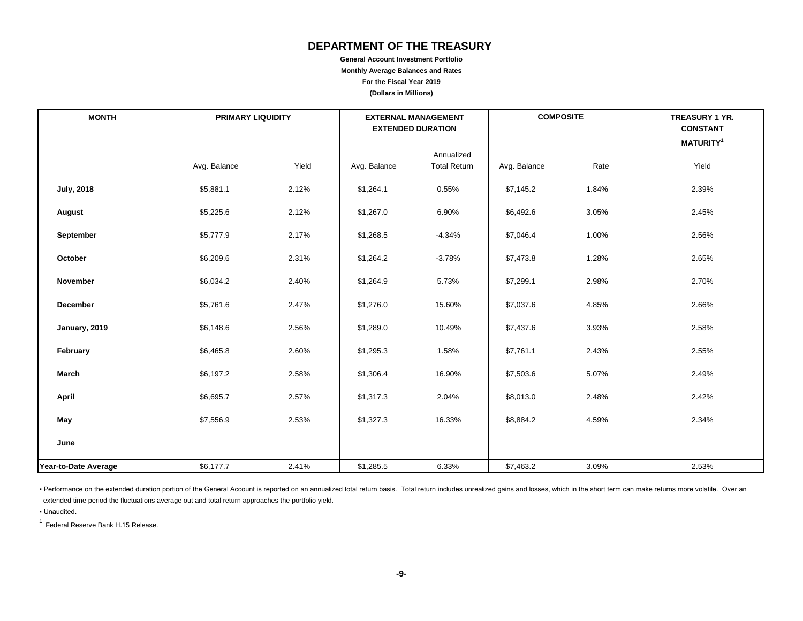# **DEPARTMENT OF THE TREASURY**

**General Account Investment Portfolio Monthly Average Balances and Rates For the Fiscal Year 2019 (Dollars in Millions)**

| <b>MONTH</b>         | <b>PRIMARY LIQUIDITY</b> |       |              | <b>EXTERNAL MANAGEMENT</b><br><b>EXTENDED DURATION</b> | <b>COMPOSITE</b> |       | TREASURY 1 YR.<br><b>CONSTANT</b> |  |
|----------------------|--------------------------|-------|--------------|--------------------------------------------------------|------------------|-------|-----------------------------------|--|
|                      |                          |       |              |                                                        |                  |       | <b>MATURITY<sup>1</sup></b>       |  |
|                      | Avg. Balance             | Yield | Avg. Balance | Annualized<br><b>Total Return</b>                      | Avg. Balance     | Rate  | Yield                             |  |
| <b>July, 2018</b>    | \$5,881.1                | 2.12% | \$1,264.1    | 0.55%                                                  | \$7,145.2        | 1.84% | 2.39%                             |  |
| August               | \$5,225.6                | 2.12% | \$1,267.0    | 6.90%                                                  | \$6,492.6        | 3.05% | 2.45%                             |  |
| September            | \$5,777.9                | 2.17% | \$1,268.5    | $-4.34%$                                               | \$7,046.4        | 1.00% | 2.56%                             |  |
| October              | \$6,209.6                | 2.31% | \$1,264.2    | $-3.78%$                                               | \$7,473.8        | 1.28% | 2.65%                             |  |
| November             | \$6,034.2                | 2.40% | \$1,264.9    | 5.73%                                                  | \$7,299.1        | 2.98% | 2.70%                             |  |
| December             | \$5,761.6                | 2.47% | \$1,276.0    | 15.60%                                                 | \$7,037.6        | 4.85% | 2.66%                             |  |
| January, 2019        | \$6,148.6                | 2.56% | \$1,289.0    | 10.49%                                                 | \$7,437.6        | 3.93% | 2.58%                             |  |
| February             | \$6,465.8                | 2.60% | \$1,295.3    | 1.58%                                                  | \$7,761.1        | 2.43% | 2.55%                             |  |
| March                | \$6,197.2                | 2.58% | \$1,306.4    | 16.90%                                                 | \$7,503.6        | 5.07% | 2.49%                             |  |
| April                | \$6,695.7                | 2.57% | \$1,317.3    | 2.04%                                                  | \$8,013.0        | 2.48% | 2.42%                             |  |
| May                  | \$7,556.9                | 2.53% | \$1,327.3    | 16.33%                                                 | \$8,884.2        | 4.59% | 2.34%                             |  |
| June                 |                          |       |              |                                                        |                  |       |                                   |  |
| Year-to-Date Average | \$6,177.7                | 2.41% | \$1,285.5    | 6.33%                                                  | \$7,463.2        | 3.09% | 2.53%                             |  |

· Performance on the extended duration portion of the General Account is reported on an annualized total return basis. Total return includes unrealized gains and losses, which in the short term can make returns more volati extended time period the fluctuations average out and total return approaches the portfolio yield.

▪ Unaudited.

1 Federal Reserve Bank H.15 Release.